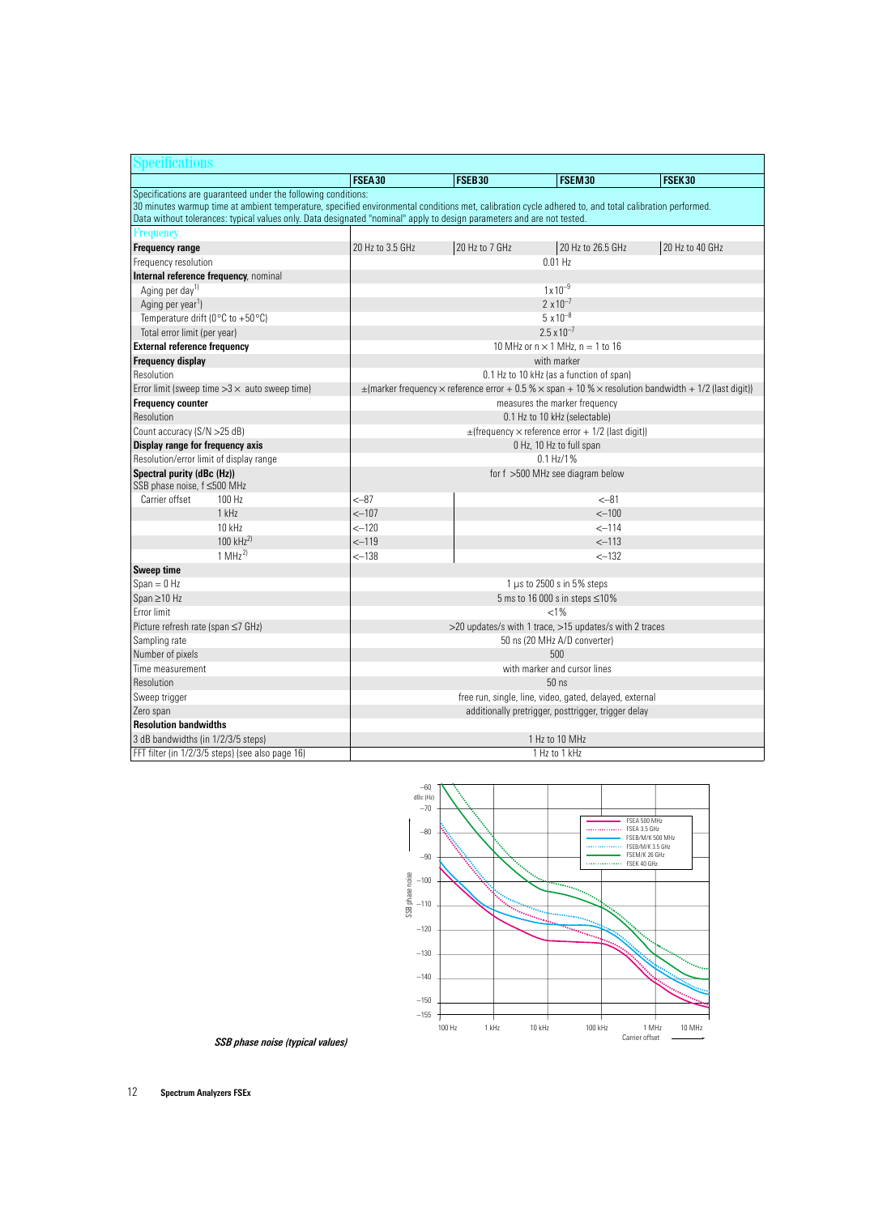| pecifications                                             |                                                                                                                                                                                                                                                                                 |                                                               |                                  |                                                     |                                                                                                                                 |  |  |
|-----------------------------------------------------------|---------------------------------------------------------------------------------------------------------------------------------------------------------------------------------------------------------------------------------------------------------------------------------|---------------------------------------------------------------|----------------------------------|-----------------------------------------------------|---------------------------------------------------------------------------------------------------------------------------------|--|--|
|                                                           |                                                                                                                                                                                                                                                                                 | FSEA30                                                        | FSEB30                           | FSEM30                                              | FSEK30                                                                                                                          |  |  |
|                                                           | Specifications are guaranteed under the following conditions:                                                                                                                                                                                                                   |                                                               |                                  |                                                     |                                                                                                                                 |  |  |
|                                                           | 30 minutes warmup time at ambient temperature, specified environmental conditions met, calibration cycle adhered to, and total calibration performed.<br>Data without tolerances: typical values only. Data designated "nominal" apply to design parameters and are not tested. |                                                               |                                  |                                                     |                                                                                                                                 |  |  |
| <b>Frequency</b>                                          |                                                                                                                                                                                                                                                                                 |                                                               |                                  |                                                     |                                                                                                                                 |  |  |
| <b>Frequency range</b>                                    |                                                                                                                                                                                                                                                                                 | 20 Hz to 3.5 GHz                                              | 20 Hz to 7 GHz                   | 20 Hz to 26.5 GHz                                   | 20 Hz to 40 GHz                                                                                                                 |  |  |
| Frequency resolution                                      |                                                                                                                                                                                                                                                                                 |                                                               |                                  | $0.01$ Hz                                           |                                                                                                                                 |  |  |
| Internal reference frequency, nominal                     |                                                                                                                                                                                                                                                                                 |                                                               |                                  |                                                     |                                                                                                                                 |  |  |
| Aging per day <sup>1)</sup>                               |                                                                                                                                                                                                                                                                                 |                                                               |                                  | $1 \times 10^{-9}$                                  |                                                                                                                                 |  |  |
| Aging per year <sup>1</sup> )                             |                                                                                                                                                                                                                                                                                 |                                                               |                                  | $2 \times 10^{-7}$                                  |                                                                                                                                 |  |  |
| Temperature drift (0 $^{\circ}$ C to +50 $^{\circ}$ C)    |                                                                                                                                                                                                                                                                                 |                                                               |                                  | $5 \times 10^{-8}$                                  |                                                                                                                                 |  |  |
| Total error limit (per year)                              |                                                                                                                                                                                                                                                                                 |                                                               |                                  | $2.5 \times 10^{-7}$                                |                                                                                                                                 |  |  |
| <b>External reference frequency</b>                       |                                                                                                                                                                                                                                                                                 |                                                               |                                  | 10 MHz or $n \times 1$ MHz, $n = 1$ to 16           |                                                                                                                                 |  |  |
| <b>Frequency display</b>                                  |                                                                                                                                                                                                                                                                                 |                                                               |                                  | with marker                                         |                                                                                                                                 |  |  |
| Resolution                                                |                                                                                                                                                                                                                                                                                 |                                                               |                                  | 0.1 Hz to 10 kHz (as a function of span)            |                                                                                                                                 |  |  |
| Error limit (sweep time $>3 \times$ auto sweep time)      |                                                                                                                                                                                                                                                                                 |                                                               |                                  |                                                     | $\pm$ (marker frequency $\times$ reference error + 0.5 % $\times$ span + 10 % $\times$ resolution bandwidth + 1/2 (last digit)) |  |  |
| <b>Frequency counter</b>                                  |                                                                                                                                                                                                                                                                                 |                                                               |                                  | measures the marker frequency                       |                                                                                                                                 |  |  |
| Resolution                                                |                                                                                                                                                                                                                                                                                 |                                                               |                                  | 0.1 Hz to 10 kHz (selectable)                       |                                                                                                                                 |  |  |
| Count accuracy (S/N > 25 dB)                              |                                                                                                                                                                                                                                                                                 | $\pm$ (frequency $\times$ reference error + 1/2 (last digit)) |                                  |                                                     |                                                                                                                                 |  |  |
| Display range for frequency axis                          |                                                                                                                                                                                                                                                                                 |                                                               |                                  | 0 Hz, 10 Hz to full span                            |                                                                                                                                 |  |  |
| Resolution/error limit of display range                   |                                                                                                                                                                                                                                                                                 |                                                               |                                  | 0.1 Hz/1%                                           |                                                                                                                                 |  |  |
| Spectral purity (dBc (Hz))<br>SSB phase noise, f ≤500 MHz |                                                                                                                                                                                                                                                                                 |                                                               | for f >500 MHz see diagram below |                                                     |                                                                                                                                 |  |  |
| Carrier offset<br>$100$ Hz                                |                                                                                                                                                                                                                                                                                 | <-87                                                          |                                  | $< -81$                                             |                                                                                                                                 |  |  |
| 1 kHz                                                     |                                                                                                                                                                                                                                                                                 | $< -107$                                                      |                                  | $< -100$                                            |                                                                                                                                 |  |  |
| $10$ kHz                                                  |                                                                                                                                                                                                                                                                                 | $<-120$                                                       |                                  | $< -114$                                            |                                                                                                                                 |  |  |
| 100 $kHz^{2}$                                             |                                                                                                                                                                                                                                                                                 | $-119$                                                        |                                  | $<-113$                                             |                                                                                                                                 |  |  |
| $1$ MHz <sup>2)</sup>                                     |                                                                                                                                                                                                                                                                                 | $<-138$                                                       |                                  | $<-132$                                             |                                                                                                                                 |  |  |
| Sweep time                                                |                                                                                                                                                                                                                                                                                 |                                                               |                                  |                                                     |                                                                                                                                 |  |  |
| $Span = 0 Hz$                                             |                                                                                                                                                                                                                                                                                 | 1 $\mu$ s to 2500 s in 5% steps                               |                                  |                                                     |                                                                                                                                 |  |  |
| Span ≥10 Hz                                               |                                                                                                                                                                                                                                                                                 | 5 ms to 16 000 s in steps ≤10%                                |                                  |                                                     |                                                                                                                                 |  |  |
| Error limit                                               |                                                                                                                                                                                                                                                                                 | $< 1\%$                                                       |                                  |                                                     |                                                                                                                                 |  |  |
| Picture refresh rate (span ≤7 GHz)                        |                                                                                                                                                                                                                                                                                 | >20 updates/s with 1 trace, >15 updates/s with 2 traces       |                                  |                                                     |                                                                                                                                 |  |  |
| Sampling rate                                             |                                                                                                                                                                                                                                                                                 | 50 ns (20 MHz A/D converter)                                  |                                  |                                                     |                                                                                                                                 |  |  |
| Number of pixels                                          |                                                                                                                                                                                                                                                                                 | 500                                                           |                                  |                                                     |                                                                                                                                 |  |  |
| Time measurement                                          |                                                                                                                                                                                                                                                                                 | with marker and cursor lines                                  |                                  |                                                     |                                                                                                                                 |  |  |
| Resolution                                                |                                                                                                                                                                                                                                                                                 | $50$ ns                                                       |                                  |                                                     |                                                                                                                                 |  |  |
| Sweep trigger                                             |                                                                                                                                                                                                                                                                                 | free run, single, line, video, gated, delayed, external       |                                  |                                                     |                                                                                                                                 |  |  |
| Zero span                                                 |                                                                                                                                                                                                                                                                                 |                                                               |                                  | additionally pretrigger, posttrigger, trigger delay |                                                                                                                                 |  |  |
| <b>Resolution bandwidths</b>                              |                                                                                                                                                                                                                                                                                 |                                                               |                                  |                                                     |                                                                                                                                 |  |  |
| 3 dB bandwidths (in 1/2/3/5 steps)                        |                                                                                                                                                                                                                                                                                 | 1 Hz to 10 MHz                                                |                                  |                                                     |                                                                                                                                 |  |  |
| FFT filter (in 1/2/3/5 steps) (see also page 16)          |                                                                                                                                                                                                                                                                                 |                                                               |                                  | 1 Hz to 1 kHz                                       |                                                                                                                                 |  |  |



*SSB phase noise (typical values)*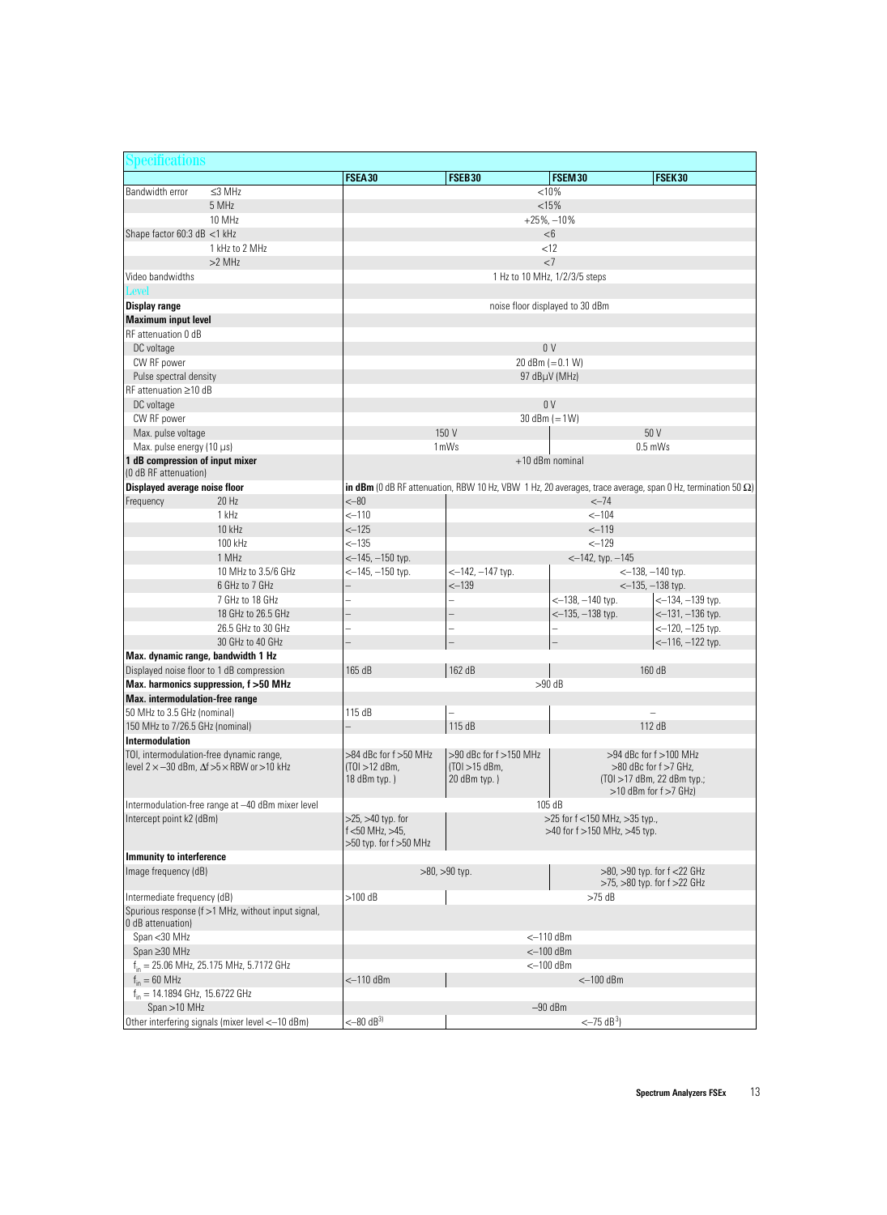| Specifications                            |                                                                   |                         |                                                                                                                    |                                     |                                                                   |
|-------------------------------------------|-------------------------------------------------------------------|-------------------------|--------------------------------------------------------------------------------------------------------------------|-------------------------------------|-------------------------------------------------------------------|
|                                           |                                                                   | FSEA30                  | FSEB30                                                                                                             | FSEM30                              | FSEK30                                                            |
| Bandwidth error                           | $\leq$ 3 MHz                                                      | < 10%                   |                                                                                                                    |                                     |                                                                   |
|                                           | 5 MHz                                                             | <15%                    |                                                                                                                    |                                     |                                                                   |
|                                           | 10 MHz                                                            | $+25\%,-10\%$           |                                                                                                                    |                                     |                                                                   |
| Shape factor 60:3 dB <1 kHz               |                                                                   |                         |                                                                                                                    | $<$ 6                               |                                                                   |
|                                           | 1 kHz to 2 MHz                                                    |                         |                                                                                                                    | <12                                 |                                                                   |
|                                           | $>2$ MHz                                                          |                         |                                                                                                                    | <7                                  |                                                                   |
| Video bandwidths                          |                                                                   |                         |                                                                                                                    | 1 Hz to 10 MHz, 1/2/3/5 steps       |                                                                   |
| Level                                     |                                                                   |                         |                                                                                                                    |                                     |                                                                   |
| <b>Display range</b>                      |                                                                   |                         |                                                                                                                    | noise floor displayed to 30 dBm     |                                                                   |
| <b>Maximum input level</b>                |                                                                   |                         |                                                                                                                    |                                     |                                                                   |
| RF attenuation 0 dB                       |                                                                   |                         |                                                                                                                    |                                     |                                                                   |
| DC voltage                                |                                                                   |                         |                                                                                                                    | 0 <sup>0</sup>                      |                                                                   |
| CW RF power                               |                                                                   |                         |                                                                                                                    | 20 dBm $(=0.1 W)$                   |                                                                   |
| Pulse spectral density                    |                                                                   |                         |                                                                                                                    | 97 dBµV (MHz)                       |                                                                   |
| $RF$ attenuation $\geq 10$ dB             |                                                                   |                         |                                                                                                                    |                                     |                                                                   |
| DC voltage                                |                                                                   |                         |                                                                                                                    | 0 <sup>V</sup>                      |                                                                   |
| CW RF power                               |                                                                   |                         |                                                                                                                    | 30 dBm $(=1 W)$                     |                                                                   |
| Max. pulse voltage                        |                                                                   |                         | 150 V                                                                                                              |                                     | 50 V                                                              |
| Max. pulse energy (10 µs)                 |                                                                   |                         | 1 <sub>m</sub> W <sub>s</sub>                                                                                      |                                     | $0.5$ mWs                                                         |
| 1 dB compression of input mixer           |                                                                   |                         |                                                                                                                    | $+10$ dBm nominal                   |                                                                   |
| (0 dB RF attenuation)                     |                                                                   |                         |                                                                                                                    |                                     |                                                                   |
| Displayed average noise floor             |                                                                   |                         | in dBm (0 dB RF attenuation, RBW 10 Hz, VBW 1 Hz, 20 averages, trace average, span 0 Hz, termination 50 $\Omega$ ) |                                     |                                                                   |
| Frequency                                 | 20 Hz                                                             | $< -80$                 |                                                                                                                    | $<-74$                              |                                                                   |
|                                           | 1 kHz                                                             | $< -110$                |                                                                                                                    | $< -104$                            |                                                                   |
|                                           | 10 kHz                                                            | $< -125$                |                                                                                                                    | $< -119$                            |                                                                   |
|                                           | 100 kHz                                                           | <–135                   |                                                                                                                    | $<-129$                             |                                                                   |
|                                           | 1 MHz                                                             | $<-145$ , $-150$ typ.   |                                                                                                                    | $<-142$ , typ. $-145$               |                                                                   |
|                                           | 10 MHz to 3.5/6 GHz                                               | $<-145$ , $-150$ typ.   | $<-142$ , $-147$ typ.                                                                                              |                                     | $<-138$ , $-140$ typ.                                             |
|                                           | 6 GHz to 7 GHz                                                    |                         | $<-139$                                                                                                            |                                     | $<-135$ , $-138$ typ.                                             |
|                                           | 7 GHz to 18 GHz                                                   |                         | $\overline{\phantom{0}}$                                                                                           | $<-138, -140$ typ.                  | $<-134$ , $-139$ typ.                                             |
|                                           | 18 GHz to 26.5 GHz                                                |                         |                                                                                                                    | $<-135$ , $-138$ typ.               | $<-131$ , $-136$ typ.                                             |
|                                           | 26.5 GHz to 30 GHz                                                |                         | $\overline{\phantom{0}}$                                                                                           |                                     | $<-120$ , $-125$ typ.                                             |
|                                           | 30 GHz to 40 GHz                                                  |                         |                                                                                                                    |                                     | $<-116$ , $-122$ typ.                                             |
| Max. dynamic range, bandwidth 1 Hz        |                                                                   |                         |                                                                                                                    |                                     |                                                                   |
| Displayed noise floor to 1 dB compression |                                                                   | 165 dB                  | 162 dB                                                                                                             |                                     | 160 dB                                                            |
|                                           | Max. harmonics suppression, f >50 MHz                             |                         |                                                                                                                    | $>90$ dB                            |                                                                   |
| Max. intermodulation-free range           |                                                                   |                         |                                                                                                                    |                                     |                                                                   |
| 50 MHz to 3.5 GHz (nominal)               |                                                                   | 115 dB                  | $\overline{\phantom{0}}$                                                                                           |                                     | $\overline{\phantom{0}}$                                          |
| 150 MHz to 7/26.5 GHz (nominal)           |                                                                   |                         | 115 dB                                                                                                             |                                     | 112 dB                                                            |
| Intermodulation                           |                                                                   |                         |                                                                                                                    |                                     |                                                                   |
| TOI, intermodulation-free dynamic range,  |                                                                   | >84 dBc for f >50 MHz   | >90 dBc for f >150 MHz                                                                                             |                                     | $>94$ dBc for f $>100$ MHz                                        |
|                                           | level $2 \times -30$ dBm, $\Delta f > 5 \times$ RBW or $> 10$ kHz | $(TO1 > 12$ dBm.        | $(T01 > 15$ dBm,                                                                                                   |                                     | $>80$ dBc for f $>7$ GHz,                                         |
|                                           |                                                                   | 18 dBm typ.)            | 20 dBm typ.)                                                                                                       |                                     | (TOI >17 dBm, 22 dBm typ.;                                        |
|                                           |                                                                   |                         |                                                                                                                    |                                     | $>10$ dBm for $f > 7$ GHz)                                        |
|                                           | Intermodulation-free range at -40 dBm mixer level                 |                         |                                                                                                                    | 105 dB                              |                                                                   |
| Intercept point k2 (dBm)                  |                                                                   | $>25$ , $>40$ typ. for  |                                                                                                                    | $>$ 25 for f <150 MHz, $>$ 35 typ., |                                                                   |
|                                           |                                                                   | $f$ <50 MHz, >45.       |                                                                                                                    | >40 for f >150 MHz, >45 typ.        |                                                                   |
|                                           |                                                                   | >50 typ. for f >50 MHz  |                                                                                                                    |                                     |                                                                   |
| Immunity to interference                  |                                                                   |                         |                                                                                                                    |                                     |                                                                   |
| Image frequency (dB)                      |                                                                   |                         | $>80$ , $>90$ typ.                                                                                                 |                                     | >80, >90 typ. for f <22 GHz<br>$>75$ , $>80$ typ. for f $>22$ GHz |
| Intermediate frequency (dB)               |                                                                   | $>100$ dB               |                                                                                                                    | $>75$ dB                            |                                                                   |
|                                           | Spurious response (f >1 MHz, without input signal,                |                         |                                                                                                                    |                                     |                                                                   |
| 0 dB attenuation)                         |                                                                   |                         |                                                                                                                    |                                     |                                                                   |
| Span < 30 MHz                             |                                                                   |                         |                                                                                                                    |                                     |                                                                   |
| Span ≥30 MHz                              |                                                                   |                         | $<-110$ dBm<br>$<-100$ dBm                                                                                         |                                     |                                                                   |
|                                           | $f_{in}$ = 25.06 MHz, 25.175 MHz, 5.7172 GHz                      |                         |                                                                                                                    | $<-100$ dBm                         |                                                                   |
| $f_{in} = 60$ MHz                         |                                                                   | $<$ -110 dBm            |                                                                                                                    | $<-100$ dBm                         |                                                                   |
| $f_{in}$ = 14.1894 GHz, 15.6722 GHz       |                                                                   |                         |                                                                                                                    |                                     |                                                                   |
| $Span > 10$ MHz                           |                                                                   |                         |                                                                                                                    | $-90$ dBm                           |                                                                   |
|                                           | Other interfering signals (mixer level <-10 dBm)                  | $<-80$ dB <sup>3)</sup> |                                                                                                                    | $<-75$ dB <sup>3</sup> )            |                                                                   |
|                                           |                                                                   |                         |                                                                                                                    |                                     |                                                                   |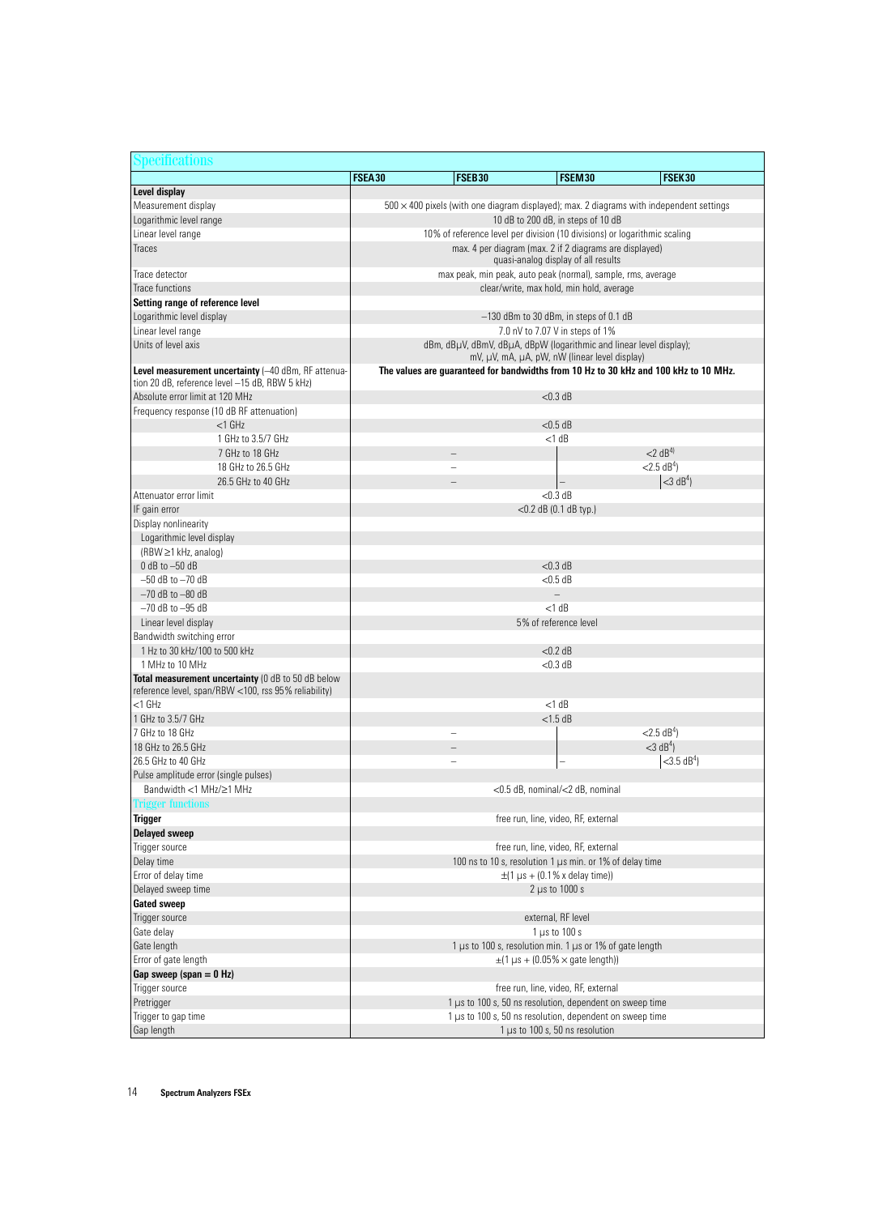| Specifications                                                                                             |                                                                           |                                                                                                |                                                                                                                      |                                                                                                 |  |  |
|------------------------------------------------------------------------------------------------------------|---------------------------------------------------------------------------|------------------------------------------------------------------------------------------------|----------------------------------------------------------------------------------------------------------------------|-------------------------------------------------------------------------------------------------|--|--|
|                                                                                                            | FSEA30                                                                    | FSEB30                                                                                         | FSEM30                                                                                                               | FSEK30                                                                                          |  |  |
| Level display                                                                                              |                                                                           |                                                                                                |                                                                                                                      |                                                                                                 |  |  |
| Measurement display                                                                                        |                                                                           |                                                                                                |                                                                                                                      | $500 \times 400$ pixels (with one diagram displayed); max. 2 diagrams with independent settings |  |  |
| Logarithmic level range                                                                                    | 10 dB to 200 dB, in steps of 10 dB                                        |                                                                                                |                                                                                                                      |                                                                                                 |  |  |
| Linear level range                                                                                         | 10% of reference level per division (10 divisions) or logarithmic scaling |                                                                                                |                                                                                                                      |                                                                                                 |  |  |
| Traces                                                                                                     |                                                                           | max. 4 per diagram (max. 2 if 2 diagrams are displayed)<br>quasi-analog display of all results |                                                                                                                      |                                                                                                 |  |  |
| Trace detector                                                                                             | max peak, min peak, auto peak (normal), sample, rms, average              |                                                                                                |                                                                                                                      |                                                                                                 |  |  |
| <b>Trace functions</b>                                                                                     |                                                                           | clear/write, max hold, min hold, average                                                       |                                                                                                                      |                                                                                                 |  |  |
| Setting range of reference level                                                                           |                                                                           |                                                                                                |                                                                                                                      |                                                                                                 |  |  |
| Logarithmic level display                                                                                  | $-130$ dBm to 30 dBm, in steps of 0.1 dB                                  |                                                                                                |                                                                                                                      |                                                                                                 |  |  |
| Linear level range                                                                                         |                                                                           |                                                                                                | 7.0 nV to 7.07 V in steps of 1%                                                                                      |                                                                                                 |  |  |
| Units of level axis                                                                                        |                                                                           |                                                                                                | dBm, dBµV, dBmV, dBµA, dBpW (logarithmic and linear level display);                                                  |                                                                                                 |  |  |
|                                                                                                            |                                                                           |                                                                                                | mV, µV, mA, µA, pW, nW (linear level display)                                                                        |                                                                                                 |  |  |
| Level measurement uncertainty (-40 dBm, RF attenua-<br>tion 20 dB, reference level -15 dB, RBW 5 kHz)      |                                                                           |                                                                                                |                                                                                                                      | The values are guaranteed for bandwidths from 10 Hz to 30 kHz and 100 kHz to 10 MHz.            |  |  |
| Absolute error limit at 120 MHz                                                                            |                                                                           |                                                                                                | $< 0.3$ dB                                                                                                           |                                                                                                 |  |  |
| Frequency response (10 dB RF attenuation)                                                                  |                                                                           |                                                                                                |                                                                                                                      |                                                                                                 |  |  |
| $<$ 1 $GHz$                                                                                                |                                                                           |                                                                                                | $<$ 0.5 dB                                                                                                           |                                                                                                 |  |  |
| 1 GHz to 3.5/7 GHz                                                                                         |                                                                           |                                                                                                | $<$ 1 dB                                                                                                             |                                                                                                 |  |  |
| 7 GHz to 18 GHz                                                                                            |                                                                           |                                                                                                |                                                                                                                      | $<$ 2 dB <sup>4)</sup>                                                                          |  |  |
| 18 GHz to 26.5 GHz                                                                                         |                                                                           |                                                                                                |                                                                                                                      | $<$ 2.5 dB <sup>4</sup> )                                                                       |  |  |
| 26.5 GHz to 40 GHz                                                                                         |                                                                           |                                                                                                |                                                                                                                      | $<$ 3 dB <sup>4</sup> )                                                                         |  |  |
| Attenuator error limit                                                                                     |                                                                           |                                                                                                | $< 0.3$ dB                                                                                                           |                                                                                                 |  |  |
| IF gain error                                                                                              |                                                                           |                                                                                                | $<$ 0.2 dB (0.1 dB typ.)                                                                                             |                                                                                                 |  |  |
| Display nonlinearity                                                                                       |                                                                           |                                                                                                |                                                                                                                      |                                                                                                 |  |  |
| Logarithmic level display                                                                                  |                                                                           |                                                                                                |                                                                                                                      |                                                                                                 |  |  |
| (RBW ≥1 kHz, analog)                                                                                       |                                                                           |                                                                                                |                                                                                                                      |                                                                                                 |  |  |
| $0$ dB to $-50$ dB                                                                                         |                                                                           |                                                                                                | $< 0.3$ dB                                                                                                           |                                                                                                 |  |  |
| $-50$ dB to $-70$ dB                                                                                       |                                                                           |                                                                                                | $<$ 0.5 dB                                                                                                           |                                                                                                 |  |  |
| $-70$ dB to $-80$ dB                                                                                       |                                                                           |                                                                                                |                                                                                                                      |                                                                                                 |  |  |
| $-70$ dB to $-95$ dB                                                                                       |                                                                           |                                                                                                | $<$ 1 dB                                                                                                             |                                                                                                 |  |  |
| Linear level display                                                                                       |                                                                           |                                                                                                | 5% of reference level                                                                                                |                                                                                                 |  |  |
| Bandwidth switching error                                                                                  |                                                                           |                                                                                                |                                                                                                                      |                                                                                                 |  |  |
| 1 Hz to 30 kHz/100 to 500 kHz                                                                              |                                                                           |                                                                                                | $<$ 0.2 dB                                                                                                           |                                                                                                 |  |  |
| 1 MHz to 10 MHz                                                                                            |                                                                           |                                                                                                | $<$ 0.3 dB                                                                                                           |                                                                                                 |  |  |
| Total measurement uncertainty (0 dB to 50 dB below<br>reference level, span/RBW <100, rss 95% reliability) |                                                                           |                                                                                                |                                                                                                                      |                                                                                                 |  |  |
| $<$ 1 $GHz$                                                                                                |                                                                           |                                                                                                | $<$ 1 dB                                                                                                             |                                                                                                 |  |  |
| 1 GHz to 3.5/7 GHz                                                                                         |                                                                           |                                                                                                | $<$ 1.5 dB                                                                                                           |                                                                                                 |  |  |
| 7 GHz to 18 GHz                                                                                            |                                                                           |                                                                                                |                                                                                                                      | $<$ 2.5 dB <sup>4</sup> )                                                                       |  |  |
| 18 GHz to 26.5 GHz                                                                                         |                                                                           |                                                                                                |                                                                                                                      | $<$ 3 dB <sup>4</sup> )                                                                         |  |  |
| 26.5 GHz to 40 GHz                                                                                         |                                                                           |                                                                                                |                                                                                                                      | $<$ 3.5 dB <sup>4</sup> )                                                                       |  |  |
| Pulse amplitude error (single pulses)                                                                      |                                                                           |                                                                                                |                                                                                                                      |                                                                                                 |  |  |
| Bandwidth <1 MHz/≥1 MHz                                                                                    |                                                                           |                                                                                                | <0.5 dB, nominal/<2 dB, nominal                                                                                      |                                                                                                 |  |  |
| <b>Trigger functions</b>                                                                                   |                                                                           |                                                                                                |                                                                                                                      |                                                                                                 |  |  |
| <b>Trigger</b>                                                                                             |                                                                           |                                                                                                | free run, line, video, RF, external                                                                                  |                                                                                                 |  |  |
| <b>Delayed sweep</b>                                                                                       |                                                                           |                                                                                                |                                                                                                                      |                                                                                                 |  |  |
| Trigger source                                                                                             |                                                                           |                                                                                                | free run, line, video, RF, external                                                                                  |                                                                                                 |  |  |
| Delay time                                                                                                 |                                                                           |                                                                                                | 100 ns to 10 s, resolution 1 µs min. or 1% of delay time                                                             |                                                                                                 |  |  |
| Error of delay time                                                                                        | $\pm$ (1 µs + (0.1% x delay time))                                        |                                                                                                |                                                                                                                      |                                                                                                 |  |  |
| Delayed sweep time                                                                                         | $2 \mu s$ to 1000 s                                                       |                                                                                                |                                                                                                                      |                                                                                                 |  |  |
| <b>Gated sweep</b>                                                                                         |                                                                           |                                                                                                |                                                                                                                      |                                                                                                 |  |  |
| Trigger source                                                                                             |                                                                           |                                                                                                | external, RF level                                                                                                   |                                                                                                 |  |  |
| Gate delay                                                                                                 |                                                                           |                                                                                                | $1 \mu s$ to $100 s$                                                                                                 |                                                                                                 |  |  |
| Gate length                                                                                                | 1 µs to 100 s, resolution min. 1 µs or 1% of gate length                  |                                                                                                |                                                                                                                      |                                                                                                 |  |  |
| Error of gate length                                                                                       |                                                                           |                                                                                                | $\pm$ (1 µs + (0.05% $\times$ gate length))                                                                          |                                                                                                 |  |  |
| Gap sweep (span $= 0$ Hz)                                                                                  |                                                                           |                                                                                                |                                                                                                                      |                                                                                                 |  |  |
| Trigger source                                                                                             |                                                                           |                                                                                                | free run, line, video, RF, external                                                                                  |                                                                                                 |  |  |
| Pretrigger                                                                                                 |                                                                           |                                                                                                | 1 µs to 100 s, 50 ns resolution, dependent on sweep time<br>1 µs to 100 s, 50 ns resolution, dependent on sweep time |                                                                                                 |  |  |
| Trigger to gap time                                                                                        |                                                                           |                                                                                                |                                                                                                                      |                                                                                                 |  |  |
| Gap length                                                                                                 |                                                                           |                                                                                                | 1 µs to 100 s, 50 ns resolution                                                                                      |                                                                                                 |  |  |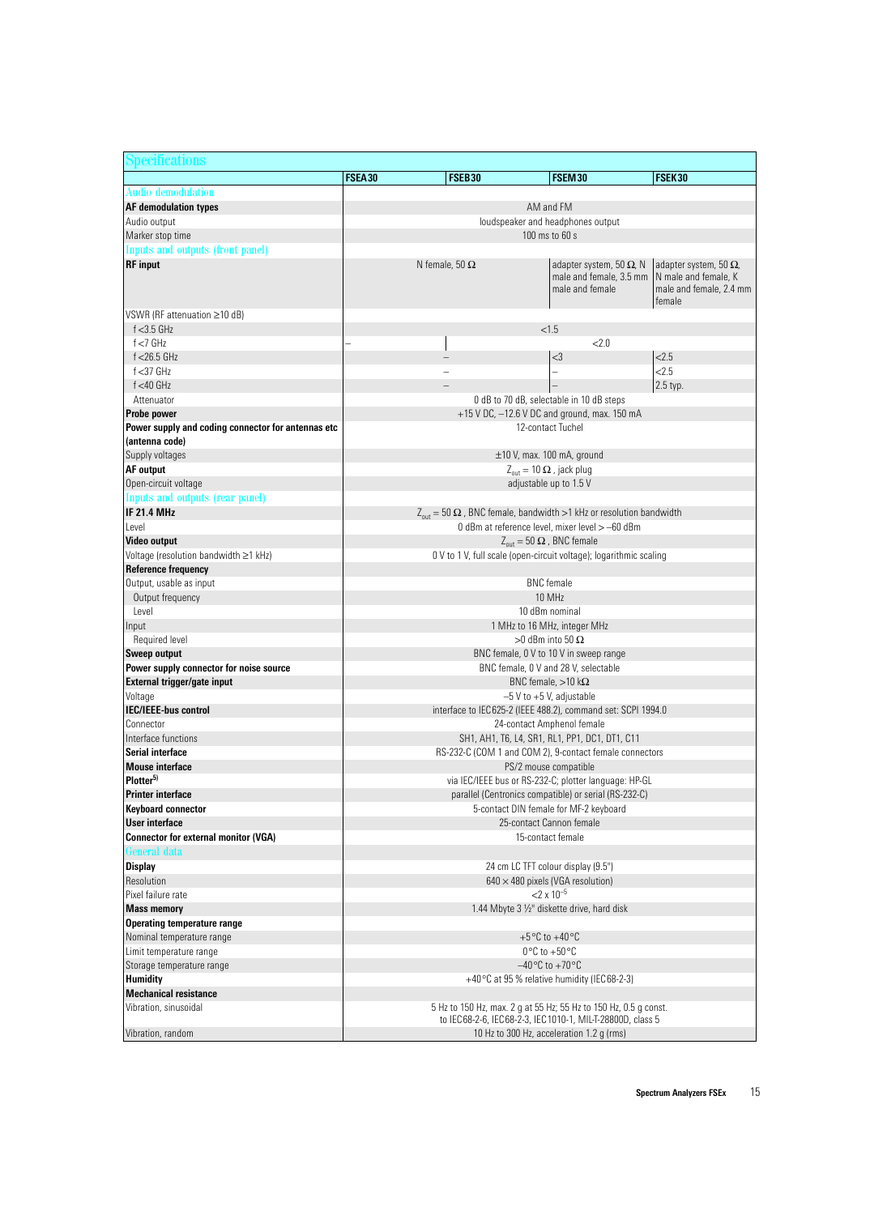| Specifications                                           |                                                                         |                                                                                          |                                                                               |                                                                                            |  |
|----------------------------------------------------------|-------------------------------------------------------------------------|------------------------------------------------------------------------------------------|-------------------------------------------------------------------------------|--------------------------------------------------------------------------------------------|--|
|                                                          | FSEA30                                                                  | <b>FSEB30</b>                                                                            | FSEM30                                                                        | FSEK30                                                                                     |  |
| <b>Audio demodulation</b>                                |                                                                         |                                                                                          |                                                                               |                                                                                            |  |
| <b>AF demodulation types</b>                             | AM and FM                                                               |                                                                                          |                                                                               |                                                                                            |  |
| Audio output                                             | loudspeaker and headphones output                                       |                                                                                          |                                                                               |                                                                                            |  |
| Marker stop time                                         |                                                                         | 100 ms to 60 s                                                                           |                                                                               |                                                                                            |  |
| Inputs and outputs (front panel)                         |                                                                         |                                                                                          |                                                                               |                                                                                            |  |
| <b>RF</b> input                                          | N female, 50 $\Omega$                                                   |                                                                                          | adapter system, 50 $\Omega$ , N<br>male and female, 3.5 mm<br>male and female | adapter system, 50 $\Omega$ ,<br>N male and female, K<br>male and female, 2.4 mm<br>female |  |
| VSWR (RF attenuation ≥10 dB)                             |                                                                         |                                                                                          |                                                                               |                                                                                            |  |
| $f < 3.5$ GHz                                            |                                                                         | < 1.5                                                                                    |                                                                               |                                                                                            |  |
| $f < 7$ GHz                                              |                                                                         |                                                                                          | 22.0                                                                          |                                                                                            |  |
| $f$ <26.5 GHz                                            |                                                                         |                                                                                          | $<$ 3                                                                         | 2.5                                                                                        |  |
| $f < 37$ GHz                                             |                                                                         |                                                                                          | $\overline{\phantom{0}}$                                                      | 2.5                                                                                        |  |
| $f < 40$ GHz                                             |                                                                         |                                                                                          |                                                                               | 2.5 typ.                                                                                   |  |
| Attenuator<br>Probe power                                |                                                                         | 0 dB to 70 dB, selectable in 10 dB steps<br>+15 V DC, -12.6 V DC and ground, max. 150 mA |                                                                               |                                                                                            |  |
| Power supply and coding connector for antennas etc       |                                                                         | 12-contact Tuchel                                                                        |                                                                               |                                                                                            |  |
| (antenna code)                                           |                                                                         |                                                                                          |                                                                               |                                                                                            |  |
| Supply voltages                                          |                                                                         | ±10 V, max. 100 mA, ground                                                               |                                                                               |                                                                                            |  |
| <b>AF</b> output                                         |                                                                         | $Z_{\text{out}} = 10 \Omega$ , jack plug                                                 |                                                                               |                                                                                            |  |
| Open-circuit voltage                                     |                                                                         | adjustable up to 1.5 V                                                                   |                                                                               |                                                                                            |  |
| Inputs and outputs (rear panel)                          |                                                                         |                                                                                          |                                                                               |                                                                                            |  |
| <b>IF 21.4 MHz</b>                                       |                                                                         | $Z_{\text{out}} = 50 \Omega$ , BNC female, bandwidth >1 kHz or resolution bandwidth      |                                                                               |                                                                                            |  |
| Level                                                    |                                                                         | 0 dBm at reference level, mixer level > -60 dBm                                          |                                                                               |                                                                                            |  |
| Video output                                             |                                                                         | $Z_{\text{out}} = 50 \Omega$ , BNC female                                                |                                                                               |                                                                                            |  |
| Voltage (resolution bandwidth ≥1 kHz)                    |                                                                         | 0 V to 1 V, full scale (open-circuit voltage); logarithmic scaling                       |                                                                               |                                                                                            |  |
| <b>Reference frequency</b>                               |                                                                         |                                                                                          |                                                                               |                                                                                            |  |
| Output, usable as input                                  |                                                                         | <b>BNC</b> female                                                                        |                                                                               |                                                                                            |  |
| Output frequency                                         | 10 MHz                                                                  |                                                                                          |                                                                               |                                                                                            |  |
| Level                                                    | 10 dBm nominal                                                          |                                                                                          |                                                                               |                                                                                            |  |
| Input                                                    | 1 MHz to 16 MHz, integer MHz                                            |                                                                                          |                                                                               |                                                                                            |  |
| Required level                                           |                                                                         | $>0$ dBm into 50 $\Omega$                                                                |                                                                               |                                                                                            |  |
| Sweep output                                             |                                                                         | BNC female, 0 V to 10 V in sweep range                                                   |                                                                               |                                                                                            |  |
| Power supply connector for noise source                  |                                                                         | BNC female, 0 V and 28 V, selectable<br>BNC female, $>10$ k $\Omega$                     |                                                                               |                                                                                            |  |
| External trigger/gate input<br>Voltage                   |                                                                         | $-5$ V to $+5$ V, adjustable                                                             |                                                                               |                                                                                            |  |
| <b>IEC/IEEE-bus control</b>                              |                                                                         | interface to IEC625-2 (IEEE 488.2), command set: SCPI 1994.0                             |                                                                               |                                                                                            |  |
| Connector                                                |                                                                         | 24-contact Amphenol female                                                               |                                                                               |                                                                                            |  |
| Interface functions                                      |                                                                         | SH1, AH1, T6, L4, SR1, RL1, PP1, DC1, DT1, C11                                           |                                                                               |                                                                                            |  |
| Serial interface                                         |                                                                         | RS-232-C (COM 1 and COM 2), 9-contact female connectors                                  |                                                                               |                                                                                            |  |
| <b>Mouse interface</b>                                   |                                                                         | PS/2 mouse compatible                                                                    |                                                                               |                                                                                            |  |
| Plotter <sup>5)</sup>                                    |                                                                         | via IEC/IEEE bus or RS-232-C; plotter language: HP-GL                                    |                                                                               |                                                                                            |  |
| <b>Printer interface</b>                                 |                                                                         | parallel (Centronics compatible) or serial (RS-232-C)                                    |                                                                               |                                                                                            |  |
| <b>Keyboard connector</b>                                |                                                                         | 5-contact DIN female for MF-2 keyboard                                                   |                                                                               |                                                                                            |  |
| User interface                                           |                                                                         | 25-contact Cannon female                                                                 |                                                                               |                                                                                            |  |
| <b>Connector for external monitor (VGA)</b>              |                                                                         | 15-contact female                                                                        |                                                                               |                                                                                            |  |
| General data                                             |                                                                         |                                                                                          |                                                                               |                                                                                            |  |
| <b>Display</b>                                           |                                                                         | 24 cm LC TFT colour display (9.5")                                                       |                                                                               |                                                                                            |  |
| Resolution                                               |                                                                         | $640 \times 480$ pixels (VGA resolution)                                                 |                                                                               |                                                                                            |  |
| Pixel failure rate                                       | $<$ 2 x 10 <sup>-5</sup><br>1.44 Mbyte 3 1/2" diskette drive, hard disk |                                                                                          |                                                                               |                                                                                            |  |
| <b>Mass memory</b><br><b>Operating temperature range</b> |                                                                         |                                                                                          |                                                                               |                                                                                            |  |
| Nominal temperature range                                |                                                                         | +5 $\degree$ C to +40 $\degree$ C                                                        |                                                                               |                                                                                            |  |
| Limit temperature range                                  |                                                                         | $0^{\circ}$ C to +50 $^{\circ}$ C                                                        |                                                                               |                                                                                            |  |
| Storage temperature range                                |                                                                         | $-40\degree$ C to $+70\degree$ C                                                         |                                                                               |                                                                                            |  |
| <b>Humidity</b>                                          |                                                                         | +40 $\degree$ C at 95 % relative humidity (IEC 68-2-3)                                   |                                                                               |                                                                                            |  |
| <b>Mechanical resistance</b>                             |                                                                         |                                                                                          |                                                                               |                                                                                            |  |
| Vibration, sinusoidal                                    |                                                                         | 5 Hz to 150 Hz, max. 2 g at 55 Hz; 55 Hz to 150 Hz, 0.5 g const.                         |                                                                               |                                                                                            |  |
|                                                          |                                                                         | to IEC68-2-6, IEC68-2-3, IEC1010-1, MIL-T-28800D, class 5                                |                                                                               |                                                                                            |  |
| Vibration, random                                        | 10 Hz to 300 Hz, acceleration 1.2 g (rms)                               |                                                                                          |                                                                               |                                                                                            |  |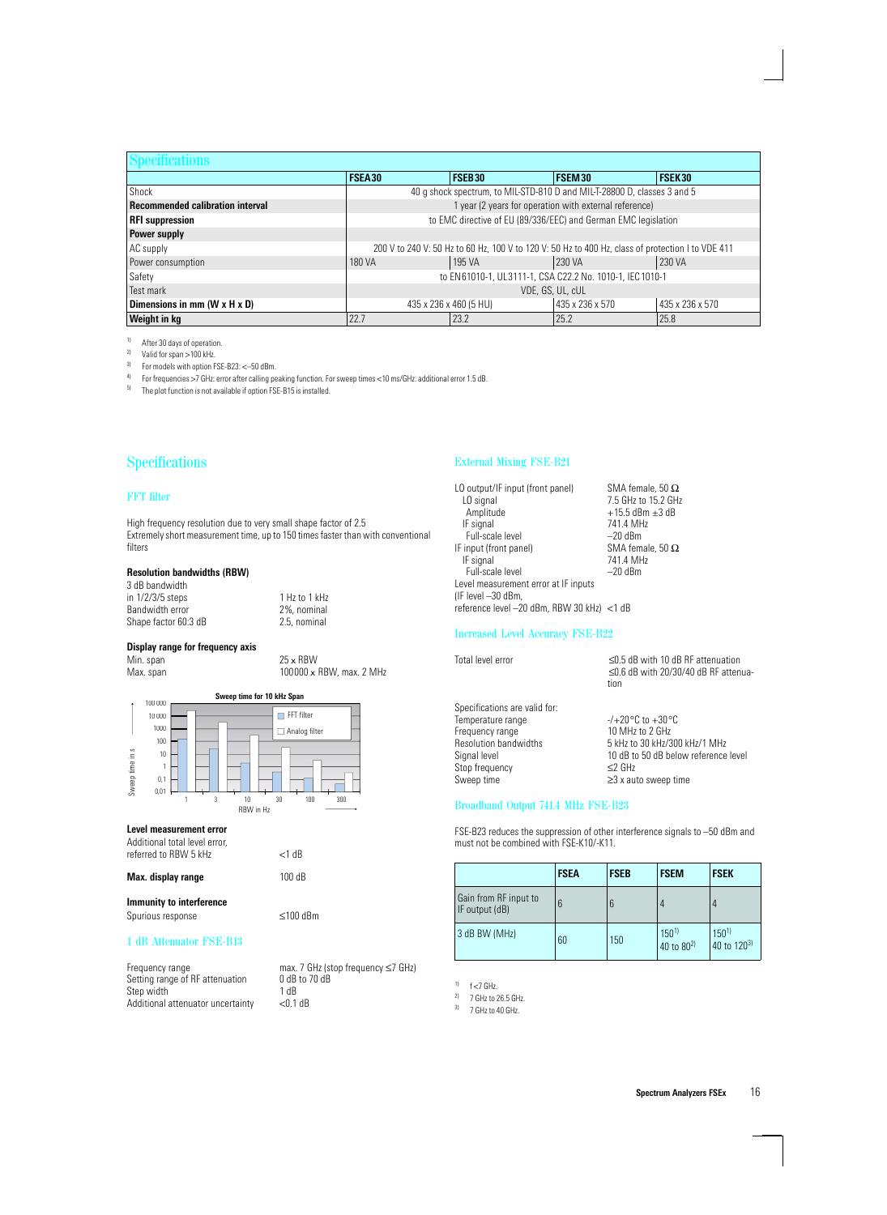| <b>Specifications</b>                   |                                                              |                                                                                                   |        |               |  |
|-----------------------------------------|--------------------------------------------------------------|---------------------------------------------------------------------------------------------------|--------|---------------|--|
|                                         | <b>FSEA30</b>                                                | FSEB30                                                                                            | FSEM30 | <b>FSEK30</b> |  |
| Shock                                   |                                                              | 40 g shock spectrum, to MIL-STD-810 D and MIL-T-28800 D, classes 3 and 5                          |        |               |  |
| <b>Recommended calibration interval</b> | 1 year (2 years for operation with external reference)       |                                                                                                   |        |               |  |
| <b>RFI</b> suppression                  |                                                              | to EMC directive of EU (89/336/EEC) and German EMC legislation                                    |        |               |  |
| Power supply                            |                                                              |                                                                                                   |        |               |  |
| AC supply                               |                                                              | 200 V to 240 V: 50 Hz to 60 Hz, 100 V to 120 V: 50 Hz to 400 Hz, class of protection I to VDE 411 |        |               |  |
| Power consumption                       | 230 VA<br>195 VA<br>230 VA<br>180 VA                         |                                                                                                   |        |               |  |
| Safety                                  | to EN61010-1, UL3111-1, CSA C22.2 No. 1010-1, IEC 1010-1     |                                                                                                   |        |               |  |
| Test mark                               | VDE, GS, UL, cUL                                             |                                                                                                   |        |               |  |
| Dimensions in mm (W x H x D)            | 435 x 236 x 570<br>435 x 236 x 570<br>435 x 236 x 460 (5 HU) |                                                                                                   |        |               |  |
| <b>Weight in kg</b>                     | 22.7                                                         | 23.2                                                                                              | 25.2   | 25.8          |  |

<sup>1)</sup> After 30 days of operation.<br><sup>2)</sup> Valid for span  $>$  100 kHz

<sup>2)</sup> Valid for span >100 kHz.<br><sup>3)</sup> For models with ontion F

<sup>3)</sup> For models with option FSE-B23:  $\leq$ -50 dBm.<br><sup>4)</sup> For froguencies  $\geq$ 7 GHz: error after calling po

<sup>4)</sup> For frequencies >7 GHz: error after calling peaking function. For sweep times <10 ms/GHz: additional error 1.5 dB.<br><sup>5)</sup> The plet function is not available if option ESE R15 is installed

The plot function is not available if option FSE-B15 is installed.

# Specifications

### FFT filter

High frequency resolution due to very small shape factor of 2.5 Extremely short measurement time, up to 150 times faster than with conventional filters

### **Resolution bandwidths (RBW)**

3 dB bandwidth in 1/2/3/5 steps 1 Hz to 1 kHz<br>Bandwidth error 2%, nominal Bandwidth error 2%, nominal<br>Shape factor 60:3 dB 2.5, nominal Shape factor 60:3 dB

# **Display range for frequency axis**

Min. span  $25 \times RBW$ <br>Max. span  $100000 \times 1$ 

100000 x RBW, max. 2 MHz



 $<$ 1 dB

#### **Level measurement error**

| Additional total level error. |  |
|-------------------------------|--|
| referred to RBW 5 kHz         |  |

| Max. display range       | 100dB |
|--------------------------|-------|
| Immunity to interference |       |

| Spurious response | $≤100$ dBm |
|-------------------|------------|
|                   |            |

#### 1 dB Attenuator FSE-B13

| Frequency range                   | max.             |
|-----------------------------------|------------------|
| Setting range of RF attenuation   | 0 <sub>d</sub> B |
| Step width                        | 1 dB             |
| Additional attenuator uncertainty | < 0.1            |

max. 7 GHz (stop frequency ≤7 GHz)  $0$  dB to 70 dB<br>1 dB  $<$  0.1 dB

## External Mixing FSE-B21

| LO output/IF input (front panel)           | SMA female, 50 $\Omega$ |
|--------------------------------------------|-------------------------|
| LO signal                                  | 7.5 GHz to 15.2 GHz     |
| Amplitude                                  | $+15.5$ dBm $\pm 3$ dB  |
| IF signal                                  | 741.4 MHz               |
| Full-scale level                           | $-20$ dBm               |
| IF input (front panel)                     | SMA female. 50 $\Omega$ |
| IF signal                                  | 741.4 MHz               |
| Full-scale level                           | $-20$ dBm               |
| Level measurement error at IF inputs       |                         |
| (IF level -30 dBm,                         |                         |
| reference level -20 dBm, RBW 30 kHz) <1 dB |                         |
|                                            |                         |

## Increased Level Accuracy FSE-B22

| Total level error             | $\leq$ 0.5 dB with 10 dB RF attenuation<br>$\leq$ 0.6 dB with 20/30/40 dB RF attenua-<br>tion |
|-------------------------------|-----------------------------------------------------------------------------------------------|
| Specifications are valid for: |                                                                                               |
| Temperature range             | $-/-20\,^{\circ}$ C to $+30\,^{\circ}$ C                                                      |
|                               |                                                                                               |
| Frequency range               | 10 MHz to 2 GHz                                                                               |
| <b>Resolution bandwidths</b>  | 5 kHz to 30 kHz/300 kHz/1 MHz                                                                 |
| Signal level                  | 10 dB to 50 dB below reference level                                                          |
| Stop frequency                | $\leq$ 2 GHz                                                                                  |
| Sweep time                    | $\geq$ 3 x auto sweep time                                                                    |

# Broadband Output 741.4 MHz FSE-B23

FSE-B23 reduces the suppression of other interference signals to –50 dBm and must not be combined with FSE-K10/-K11.

|                                         | <b>FSEA</b> | <b>FSEB</b> | <b>FSEM</b>                         | <b>FSEK</b>              |
|-----------------------------------------|-------------|-------------|-------------------------------------|--------------------------|
| Gain from RF input to<br>IF output (dB) | ჩ           | 6           |                                     |                          |
| 3 dB BW (MHz)                           | 60          | 150         | $150^{1}$<br>40 to 80 <sup>2)</sup> | $150^{1}$<br>40 to 1203) |

 $1)$  f <7 GHz.

 $^{2)}$  7 GHz to 26.5 GHz.

 $3)$  7 GHz to 40 GHz.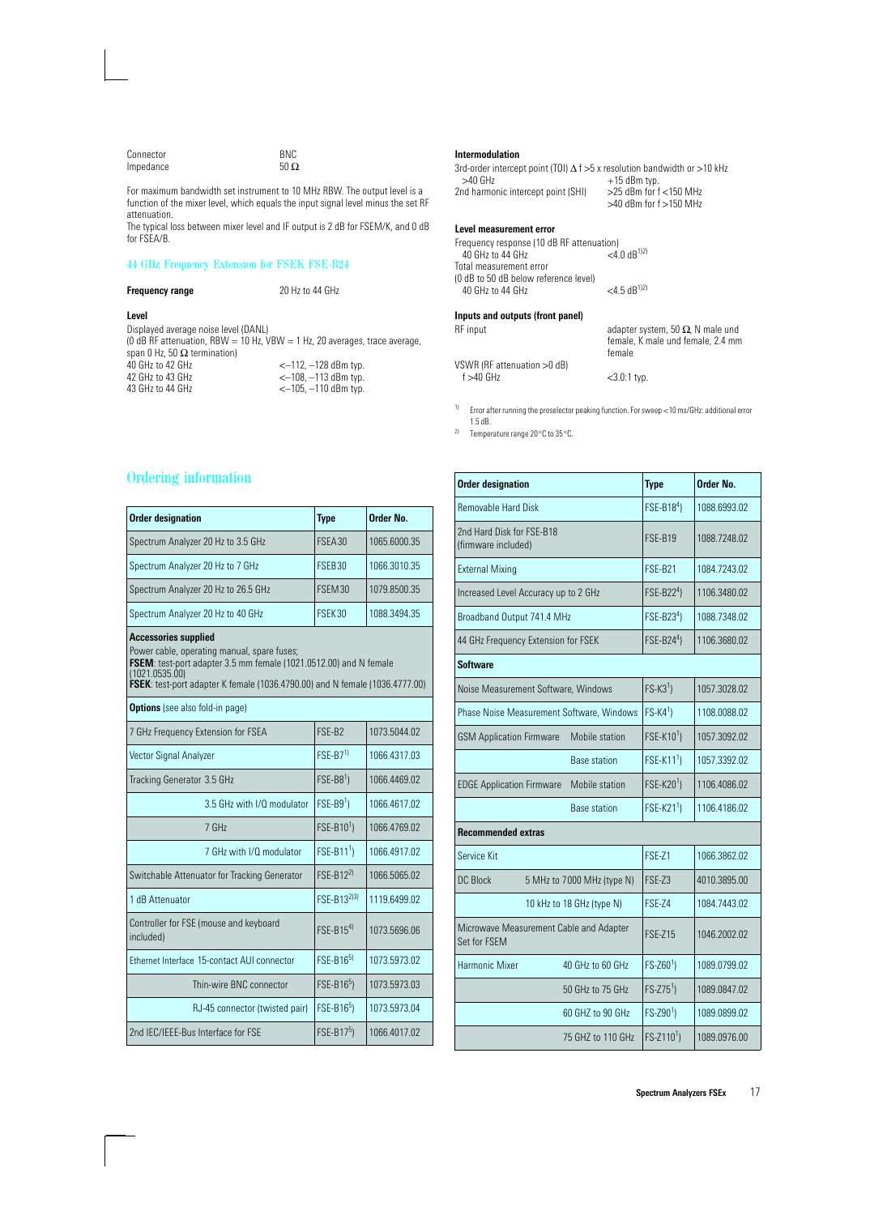| Connector | <b>BNC</b>  |
|-----------|-------------|
| Impedance | 50 $\Omega$ |

For maximum bandwidth set instrument to 10 MHz RBW. The output level is a function of the mixer level, which equals the input signal level minus the set RF attenuation.

The typical loss between mixer level and IF output is 2 dB for FSEM/K, and 0 dB for FSEA/B.

## 44 GHz Frequency Extension for FSEK FSE-B24

## **Frequency range** 20 Hz to 44 GHz **Level** Displayed average noise level (DANL) (0 dB RF attenuation, RBW = 10 Hz,  $VBW = 1$  Hz, 20 averages, trace average, span 0 Hz, 50  $\Omega$  termination)<br>40 GHz to 42 GHz 40 GHz to 42 GHz<br>
42 GHz to 43 GHz<br>
42 GHz to 43 GHz<br>
42 GHz to 43 GHz<br>
42 GHz<br>
42 GHz<br>
42 GHz<br>
43 GHz<br>
43 GHz<br>
43 GHz<br>
43 GHz<br>
43 GHz<br>
43 GHz<br>
43 GHz<br>
44 GHz<br>
44 GHz<br>
44 GHz<br>
44 GHz<br>
44 GHz<br>
44 GHz<br>
44 GHz<br>
44 GHz<br>
44 GHz 42 GHz to 43 GHz<br>43 GHz to 44 GHz<br>43 GHz to 44 GHz<br> $<-105$ ,  $-110$  dBm typ.  $-105, -110$  dBm typ.

# **Intermodulation**

3rd-order intercept point (TOI)  $\triangle$  f > 5 x resolution bandwidth or >10 kHz<br>>40 GHz<br>+15 dBm tvn +15 dBm typ.<br>>25 dBm for f <150 MHz 2nd harmonic intercept point (SHI)  $>40$  dBm for f $>150$  MHz

#### **Level measurement error**

Frequency response (10 dB RF attenuation)<br>40 GHz to 44 GHz (3 <4.0 dB<sup>1)2)</sup> 40 GHz to 44 GHz Total measurement error (0 dB to 50 dB below reference level) 40 GHz to 44 GHz <4.5 dB1)2) **Inputs and outputs (front panel)** adapter system, 50  $\Omega$ , N male und female, K male und female, 2.4 mm female VSWR (RF attenuation >0 dB)  $<$ 3.0:1 typ.

1) Error after running the preselector peaking function. For sweep <10 ms/GHz: additional error 1.5 dB.

2) Temperature range 20°C to 35°C.

| <b>Ordering information</b> |  |  |
|-----------------------------|--|--|
|                             |  |  |

| <b>Order designation</b>                                                                                                                                                                                                                                 | <b>Type</b>            | Order No.    |  |
|----------------------------------------------------------------------------------------------------------------------------------------------------------------------------------------------------------------------------------------------------------|------------------------|--------------|--|
| Spectrum Analyzer 20 Hz to 3.5 GHz                                                                                                                                                                                                                       | FSEA30                 | 1065.6000.35 |  |
| Spectrum Analyzer 20 Hz to 7 GHz                                                                                                                                                                                                                         | FSEB30                 | 1066.3010.35 |  |
| Spectrum Analyzer 20 Hz to 26.5 GHz                                                                                                                                                                                                                      | FSEM30                 | 1079.8500.35 |  |
| Spectrum Analyzer 20 Hz to 40 GHz                                                                                                                                                                                                                        | FSEK30                 | 1088.3494.35 |  |
| <b>Accessories supplied</b><br>Power cable, operating manual, spare fuses;<br>FSEM: test-port adapter 3.5 mm female (1021.0512.00) and N female<br>(1021.0535.00)<br><b>FSEK</b> : test-port adapter K female (1036.4790.00) and N female (1036.4777.00) |                        |              |  |
| <b>Options</b> (see also fold-in page)                                                                                                                                                                                                                   |                        |              |  |
| 7 GHz Frequency Extension for FSEA                                                                                                                                                                                                                       | FSF-R <sub>2</sub>     | 1073.5044.02 |  |
| Vector Signal Analyzer                                                                                                                                                                                                                                   | $FSE-B71$              | 1066.4317.03 |  |
| Tracking Generator 3.5 GHz                                                                                                                                                                                                                               | $FSE-B81$              | 1066.4469.02 |  |
| 3.5 GHz with I/O modulator                                                                                                                                                                                                                               | $FSE-B91$              | 1066 4617 02 |  |
| 7 GHz                                                                                                                                                                                                                                                    | FSE-B10 <sup>1</sup> ) | 1066.4769.02 |  |
| 7 GHz with I/Q modulator                                                                                                                                                                                                                                 | $FSE-B111$             | 1066.4917.02 |  |
| Switchable Attenuator for Tracking Generator                                                                                                                                                                                                             | $FSE-B12^{2}$          | 1066.5065.02 |  |
| 1 dB Attenuator                                                                                                                                                                                                                                          | $FSE-B13^{2 3 }$       | 1119.6499.02 |  |
| Controller for FSE (mouse and keyboard<br>included)                                                                                                                                                                                                      | $FSE-B154$             | 1073.5696.06 |  |
| Ethernet Interface 15-contact AUI connector                                                                                                                                                                                                              | $FSF-R16^{5}$          | 1073.5973.02 |  |
| Thin-wire BNC connector                                                                                                                                                                                                                                  | FSE-B16 <sup>5</sup> ) | 1073.5973.03 |  |
| RJ-45 connector (twisted pair)                                                                                                                                                                                                                           | FSE-B16 <sup>5</sup> ) | 1073.5973.04 |  |
| 2nd IEC/IEEE-Bus Interface for FSE                                                                                                                                                                                                                       | $FSE-B175$             | 1066.4017.02 |  |

| <b>Order designation</b>                                |                            | <b>Type</b>            | Order No.    |
|---------------------------------------------------------|----------------------------|------------------------|--------------|
| <b>Removable Hard Disk</b>                              |                            | FSE-B184)              | 1088.6993.02 |
| 2nd Hard Disk for FSE-B18<br>(firmware included)        |                            | <b>FSE-B19</b>         | 1088.7248.02 |
| <b>External Mixing</b>                                  |                            | FSE-B21                | 1084.7243.02 |
| Increased Level Accuracy up to 2 GHz                    |                            | FSE-B224)              | 1106.3480.02 |
| Broadband Output 741.4 MHz                              |                            | FSE-B234)              | 1088.7348.02 |
| 44 GHz Frequency Extension for FSEK                     |                            | $FSE-B244$             | 1106.3680.02 |
| <b>Software</b>                                         |                            |                        |              |
| Noise Measurement Software, Windows                     |                            | $FS-K31$ )             | 1057.3028.02 |
| Phase Noise Measurement Software, Windows               |                            | $FS-K41$ )             | 1108.0088.02 |
| <b>GSM Application Firmware</b>                         | Mobile station             | FSE-K10 <sup>1</sup> ) | 1057.3092.02 |
|                                                         | <b>Base station</b>        | $FSE-K111$             | 1057.3392.02 |
| <b>EDGE Application Firmware</b>                        | Mobile station             | FSE-K20 <sup>1</sup> ) | 1106.4086.02 |
|                                                         | <b>Base station</b>        | FSE-K21 <sup>1</sup> ) | 1106.4186.02 |
| <b>Recommended extras</b>                               |                            |                        |              |
| Service Kit                                             |                            | <b>FSE-Z1</b>          | 1066.3862.02 |
| <b>DC Block</b>                                         | 5 MHz to 7000 MHz (type N) | <b>FSE-Z3</b>          | 4010.3895.00 |
|                                                         | 10 kHz to 18 GHz (type N)  | <b>FSE-74</b>          | 1084.7443.02 |
| Microwave Measurement Cable and Adapter<br>Set for FSEM |                            | <b>FSE-Z15</b>         | 1046.2002.02 |
| Harmonic Mixer                                          | 40 GHz to 60 GHz           | $FS-Z601$ )            | 1089.0799.02 |
|                                                         | 50 GHz to 75 GHz           | $FS-Z751$ )            | 1089.0847.02 |
|                                                         | 60 GHZ to 90 GHz           | $FS-Z901$              | 1089.0899.02 |
|                                                         | 75 GHZ to 110 GHz          | $FS - Z1101$           | 1089.0976.00 |